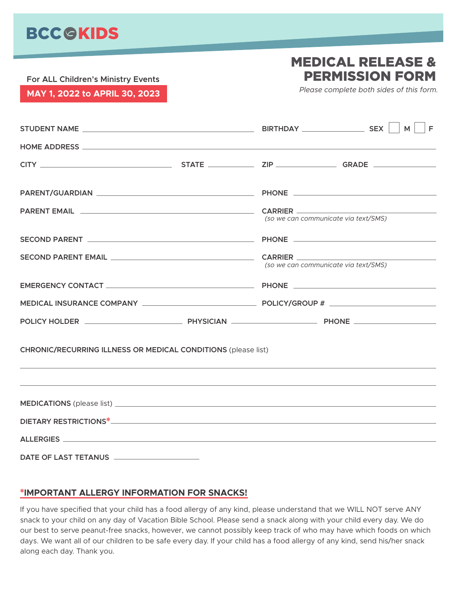## **BCC GKIDS**

### MEDICAL RELEASE & PERMISSION FORM

**For ALL Children's Ministry Events MAY 1, 2022 to APRIL 30, 2023** *Please complete both sides of this form.*

|                                                                                 |  |                                      | $\Box$ F |
|---------------------------------------------------------------------------------|--|--------------------------------------|----------|
|                                                                                 |  |                                      |          |
|                                                                                 |  |                                      |          |
|                                                                                 |  |                                      |          |
|                                                                                 |  | (so we can communicate via text/SMS) |          |
|                                                                                 |  |                                      |          |
|                                                                                 |  | (so we can communicate via text/SMS) |          |
|                                                                                 |  |                                      |          |
|                                                                                 |  |                                      |          |
|                                                                                 |  |                                      |          |
| <b>CHRONIC/RECURRING ILLNESS OR MEDICAL CONDITIONS (please list)</b>            |  |                                      |          |
| <u> 1999 - Andrea Andrew Maria (h. 1989).</u><br>2001 - Andrew Maria (h. 1908). |  |                                      |          |
|                                                                                 |  |                                      |          |
|                                                                                 |  |                                      |          |
|                                                                                 |  |                                      |          |
|                                                                                 |  |                                      |          |

#### \***IMPORTANT ALLERGY INFORMATION FOR SNACKS!**

If you have specified that your child has a food allergy of any kind, please understand that we WILL NOT serve ANY snack to your child on any day of Vacation Bible School. Please send a snack along with your child every day. We do our best to serve peanut-free snacks, however, we cannot possibly keep track of who may have which foods on which days. We want all of our children to be safe every day. If your child has a food allergy of any kind, send his/her snack along each day. Thank you.